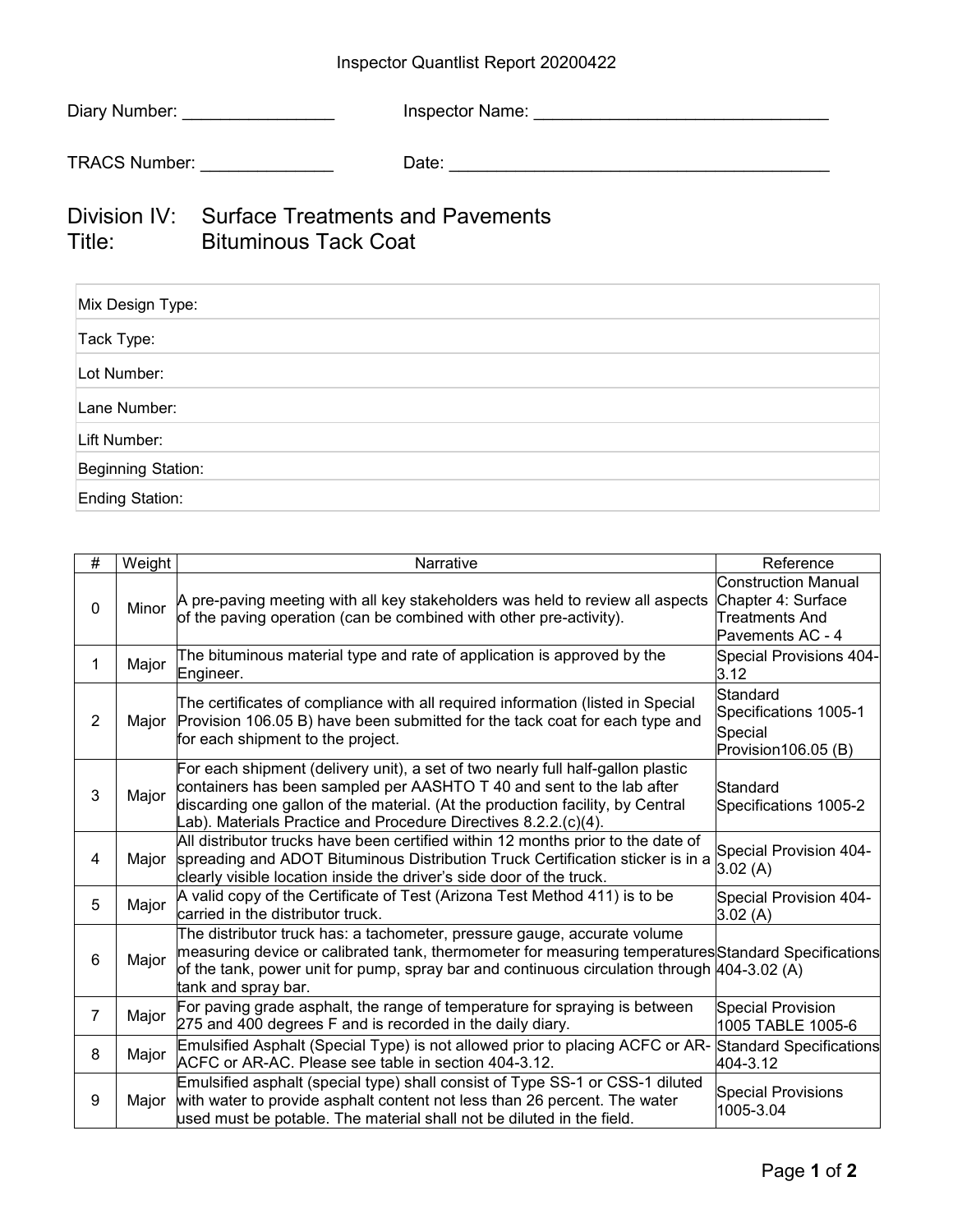## Inspector Quantlist Report 20200422

| Diary Number:                                   | <b>Inspector Name:</b> |
|-------------------------------------------------|------------------------|
| TRACS Number:                                   | Date:                  |
| $Divioian IV:$ Curfoso Trootmonto and Dovemento |                        |

## Division IV: Surface Treatments and Pavements Title: Bituminous Tack Coat

| Mix Design Type:   |  |
|--------------------|--|
| Tack Type:         |  |
| Lot Number:        |  |
| Lane Number:       |  |
| Lift Number:       |  |
| Beginning Station: |  |
| Ending Station:    |  |

| $\#$           | Weight | Narrative                                                                                                                                                                                                                                                                                                     | Reference                                                                              |
|----------------|--------|---------------------------------------------------------------------------------------------------------------------------------------------------------------------------------------------------------------------------------------------------------------------------------------------------------------|----------------------------------------------------------------------------------------|
| $\mathbf{0}$   | Minor  | A pre-paving meeting with all key stakeholders was held to review all aspects<br>of the paving operation (can be combined with other pre-activity).                                                                                                                                                           | Construction Manual<br>Chapter 4: Surface<br><b>Treatments And</b><br>Pavements AC - 4 |
| 1              | Major  | The bituminous material type and rate of application is approved by the<br>Engineer.                                                                                                                                                                                                                          | Special Provisions 404-<br>3.12                                                        |
| $\overline{2}$ | Major  | The certificates of compliance with all required information (listed in Special<br>Provision 106.05 B) have been submitted for the tack coat for each type and<br>for each shipment to the project.                                                                                                           | Standard<br>Specifications 1005-1<br>Special<br>Provision106.05 (B)                    |
| 3              | Major  | For each shipment (delivery unit), a set of two nearly full half-gallon plastic<br>containers has been sampled per AASHTO T 40 and sent to the lab after<br>discarding one gallon of the material. (At the production facility, by Central<br>Lab). Materials Practice and Procedure Directives 8.2.2.(c)(4). | Standard<br>Specifications 1005-2                                                      |
| 4              | Major  | All distributor trucks have been certified within 12 months prior to the date of<br>spreading and ADOT Bituminous Distribution Truck Certification sticker is in a<br>clearly visible location inside the driver's side door of the truck.                                                                    | Special Provision 404-<br>3.02(A)                                                      |
| 5              | Major  | A valid copy of the Certificate of Test (Arizona Test Method 411) is to be<br>carried in the distributor truck.                                                                                                                                                                                               | Special Provision 404-<br>3.02(A)                                                      |
| 6              | Major  | The distributor truck has: a tachometer, pressure gauge, accurate volume<br>measuring device or calibrated tank, thermometer for measuring temperatures Standard Specifications<br>of the tank, power unit for pump, spray bar and continuous circulation through 404-3.02 (A)<br>tank and spray bar.         |                                                                                        |
| $\overline{7}$ | Major  | For paving grade asphalt, the range of temperature for spraying is between<br>275 and 400 degrees F and is recorded in the daily diary.                                                                                                                                                                       | Special Provision<br>1005 TABLE 1005-6                                                 |
| 8              | Major  | Emulsified Asphalt (Special Type) is not allowed prior to placing ACFC or AR-<br>ACFC or AR-AC. Please see table in section 404-3.12.                                                                                                                                                                         | Standard Specifications<br>404-3.12                                                    |
| 9              | Major  | Emulsified asphalt (special type) shall consist of Type SS-1 or CSS-1 diluted<br>with water to provide asphalt content not less than 26 percent. The water<br>used must be potable. The material shall not be diluted in the field.                                                                           | <b>Special Provisions</b><br>1005-3.04                                                 |